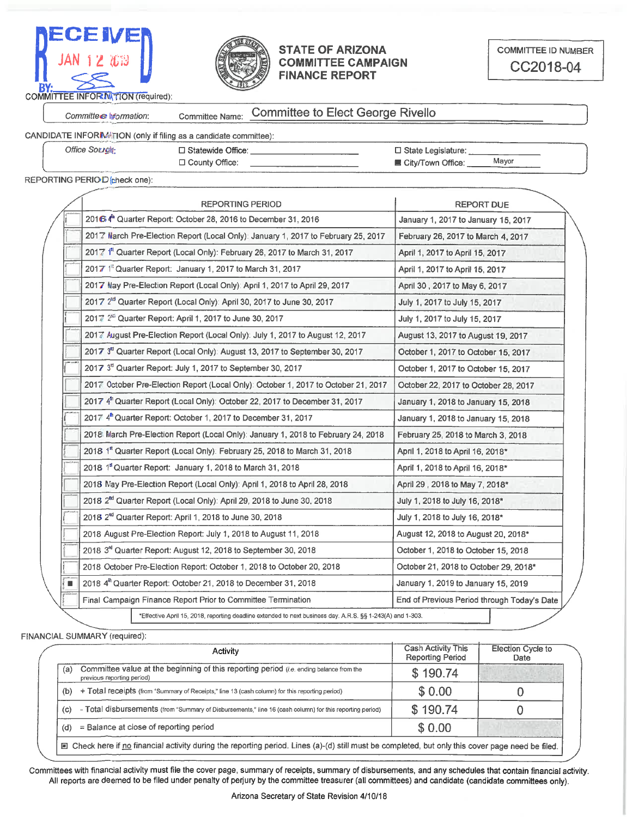



### **STATE OF ARIZONA COMMITTEE CAMPAIGN FINANCE REPORT**

Committee Information:

#### **Committee to Elect George Rivello** Committee Name:

## CANDIDATE INFORIMATION (only if filing as a candidate committee):

**Office Sought:** 

□ Statewide Office: □ County Office:

□ State Legislature: Mayor ■ City/Town Office:

### REPORTING PERIO D (check one):

| <b>REPORTING PERIOD</b>                                                                                    | <b>REPORT DUE</b>                                                                                                                                                                            |  |  |
|------------------------------------------------------------------------------------------------------------|----------------------------------------------------------------------------------------------------------------------------------------------------------------------------------------------|--|--|
| 2016 4th Quarter Report: October 28, 2016 to December 31, 2016                                             | January 1, 2017 to January 15, 2017                                                                                                                                                          |  |  |
| 2017 March Pre-Election Report (Local Only): January 1, 2017 to February 25, 2017                          | February 26, 2017 to March 4, 2017                                                                                                                                                           |  |  |
| 2017 <sup>at</sup> Quarter Report (Local Only): February 26, 2017 to March 31, 2017                        | April 1, 2017 to April 15, 2017                                                                                                                                                              |  |  |
| 2017 <sup>[4</sup> Quarter Report: January 1, 2017 to March 31, 2017                                       | April 1, 2017 to April 15, 2017                                                                                                                                                              |  |  |
| 2017 May Pre-Election Report (Local Only): April 1, 2017 to April 29, 2017                                 | April 30, 2017 to May 6, 2017                                                                                                                                                                |  |  |
| 2017 2 <sup>rd</sup> Quarter Report (Local Only): April 30, 2017 to June 30, 2017                          | July 1, 2017 to July 15, 2017                                                                                                                                                                |  |  |
| 2017 2 <sup>88</sup> Quarter Report: April 1, 2017 to June 30, 2017                                        | July 1, 2017 to July 15, 2017                                                                                                                                                                |  |  |
| 2017 August Pre-Election Report (Local Only): July 1, 2017 to August 12, 2017                              | August 13, 2017 to August 19, 2017                                                                                                                                                           |  |  |
| 2017 3 <sup>rd</sup> Quarter Report (Local Only): August 13, 2017 to September 30, 2017                    | October 1, 2017 to October 15, 2017                                                                                                                                                          |  |  |
| 2017 3 <sup>nd</sup> Quarter Report: July 1, 2017 to September 30, 2017                                    | October 1, 2017 to October 15, 2017                                                                                                                                                          |  |  |
| 2017 October Pre-Election Report (Local Only): October 1, 2017 to October 21, 2017                         | October 22, 2017 to October 28, 2017                                                                                                                                                         |  |  |
| 2017 4 <sup>th</sup> Quarter Report (Local Only): October 22, 2017 to December 31, 2017                    | January 1, 2018 to January 15, 2018                                                                                                                                                          |  |  |
| 2017 4 <sup>th</sup> Quarter Report: October 1, 2017 to December 31, 2017                                  | January 1, 2018 to January 15, 2018                                                                                                                                                          |  |  |
| 2018 March Pre-Election Report (Local Only): January 1, 2018 to February 24, 2018                          | February 25, 2018 to March 3, 2018                                                                                                                                                           |  |  |
| 2018 1 <sup>st</sup> Quarter Report (Local Only): February 25, 2018 to March 31, 2018                      | April 1, 2018 to April 16, 2018*                                                                                                                                                             |  |  |
| 2018 1st Quarter Report: January 1, 2018 to March 31, 2018                                                 | April 1, 2018 to April 16, 2018*                                                                                                                                                             |  |  |
| 2018 May Pre-Election Report (Local Only): April 1, 2018 to April 28, 2018                                 | April 29, 2018 to May 7, 2018*                                                                                                                                                               |  |  |
| 2018 2 <sup>nd</sup> Quarter Report (Local Only): April 29, 2018 to June 30, 2018                          | July 1, 2018 to July 16, 2018*                                                                                                                                                               |  |  |
| 2018 2 <sup>nd</sup> Quarter Report: April 1, 2018 to June 30, 2018                                        | July 1, 2018 to July 16, 2018*<br>August 12, 2018 to August 20, 2018*<br>October 1, 2018 to October 15, 2018<br>October 21, 2018 to October 29, 2018*<br>January 1, 2019 to January 15, 2019 |  |  |
| 2018 August Pre-Election Report: July 1, 2018 to August 11, 2018                                           |                                                                                                                                                                                              |  |  |
| 2018 3 <sup>rd</sup> Quarter Report: August 12, 2018 to September 30, 2018                                 |                                                                                                                                                                                              |  |  |
| 2018 October Pre-Election Report: October 1, 2018 to October 20, 2018                                      |                                                                                                                                                                                              |  |  |
| 2018 4 <sup>th</sup> Quarter Report: October 21, 2018 to December 31, 2018                                 |                                                                                                                                                                                              |  |  |
| Final Campaign Finance Report Prior to Committee Termination                                               | End of Previous Period through Today's Date                                                                                                                                                  |  |  |
| *Effective April 15, 2018, reporting deadline extended to next business day. A.R.S. §§ 1-243(A) and 1-303. |                                                                                                                                                                                              |  |  |

#### FINANCIAL SUMMARY (required):

|     | Activity                                                                                                              | Cash Activity This<br><b>Reporting Period</b> | <b>Election Cycle to</b><br>Date |
|-----|-----------------------------------------------------------------------------------------------------------------------|-----------------------------------------------|----------------------------------|
| (a) | Committee value at the beginning of this reporting period (i.e. ending balance from the<br>previous reporting period) | \$190.74                                      |                                  |
| (b) | + Total receipts (from "Summary of Receipts," line 13 (cash column) for this reporting period)                        | \$0.00                                        |                                  |
| (c) | - Total disbursements (from "Summary of Disbursements," line 16 (cash column) for this reporting period)              | \$190.74                                      |                                  |
| (d) | $=$ Balance at close of reporting period                                                                              | \$0.00                                        |                                  |

Committees with financial activity must file the cover page, summary of receipts, summary of disbursements, and any schedules that contain financial activity. All reports are deemed to be filed under penalty of perjury by the committee treasurer (all committees) and candidate (candidate committees only).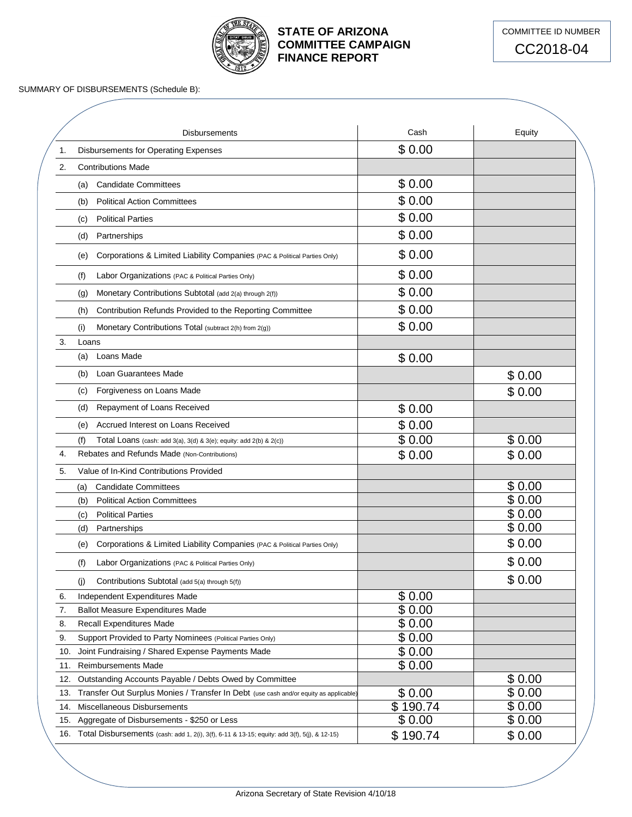

# **STATE OF ARIZONA COMMITTEE CAMPAIGN FINANCE REPORT**



SUMMARY OF DISBURSEMENTS (Schedule B):

|     | <b>Disbursements</b>                                                                                                                   | Cash             | Equity |
|-----|----------------------------------------------------------------------------------------------------------------------------------------|------------------|--------|
| 1.  | Disbursements for Operating Expenses                                                                                                   | \$0.00           |        |
| 2.  | <b>Contributions Made</b>                                                                                                              |                  |        |
|     | <b>Candidate Committees</b><br>(a)                                                                                                     | \$0.00           |        |
|     | <b>Political Action Committees</b><br>(b)                                                                                              | \$0.00           |        |
|     | <b>Political Parties</b><br>(c)                                                                                                        | \$0.00           |        |
|     | Partnerships<br>(d)                                                                                                                    | \$0.00           |        |
|     | Corporations & Limited Liability Companies (PAC & Political Parties Only)<br>(e)                                                       | \$0.00           |        |
|     | (f)<br>Labor Organizations (PAC & Political Parties Only)                                                                              | \$0.00           |        |
|     | Monetary Contributions Subtotal (add 2(a) through 2(f))<br>(g)                                                                         | \$0.00           |        |
|     | Contribution Refunds Provided to the Reporting Committee<br>(h)                                                                        | \$0.00           |        |
|     | Monetary Contributions Total (subtract 2(h) from 2(g))<br>(i)                                                                          | \$0.00           |        |
| 3.  | Loans                                                                                                                                  |                  |        |
|     | Loans Made<br>(a)                                                                                                                      | \$0.00           |        |
|     | Loan Guarantees Made<br>(b)                                                                                                            |                  | \$0.00 |
|     | Forgiveness on Loans Made<br>(c)                                                                                                       |                  | \$0.00 |
|     | Repayment of Loans Received<br>(d)                                                                                                     | \$0.00           |        |
|     |                                                                                                                                        |                  |        |
|     | Accrued Interest on Loans Received<br>(e)                                                                                              | \$0.00<br>\$0.00 | \$0.00 |
| 4.  | (f)<br>Total Loans (cash: add $3(a)$ , $3(d)$ & $3(e)$ ; equity: add $2(b)$ & $2(c)$ )<br>Rebates and Refunds Made (Non-Contributions) | \$0.00           | \$0.00 |
|     |                                                                                                                                        |                  |        |
| 5.  | Value of In-Kind Contributions Provided                                                                                                |                  |        |
|     | <b>Candidate Committees</b><br>(a)                                                                                                     |                  | \$0.00 |
|     | <b>Political Action Committees</b><br>(b)                                                                                              |                  | \$0.00 |
|     | <b>Political Parties</b><br>(c)                                                                                                        |                  | \$0.00 |
|     | Partnerships<br>(d)                                                                                                                    |                  | \$0.00 |
|     | Corporations & Limited Liability Companies (PAC & Political Parties Only)<br>(e)                                                       |                  | \$0.00 |
|     | (f)<br>Labor Organizations (PAC & Political Parties Only)                                                                              |                  | \$0.00 |
|     | Contributions Subtotal (add 5(a) through 5(f))<br>(i)                                                                                  |                  | \$0.00 |
| 6.  | Independent Expenditures Made                                                                                                          | \$0.00           |        |
| 7.  | <b>Ballot Measure Expenditures Made</b>                                                                                                | \$0.00           |        |
| 8.  | <b>Recall Expenditures Made</b>                                                                                                        | \$0.00           |        |
| 9.  | Support Provided to Party Nominees (Political Parties Only)                                                                            | \$0.00           |        |
| 10. | Joint Fundraising / Shared Expense Payments Made                                                                                       | \$0.00           |        |
| 11. | <b>Reimbursements Made</b>                                                                                                             | \$0.00           |        |
| 12. | Outstanding Accounts Payable / Debts Owed by Committee                                                                                 |                  | \$0.00 |
| 13. | Transfer Out Surplus Monies / Transfer In Debt (use cash and/or equity as applicable)                                                  | \$0.00           | \$0.00 |
| 14. | Miscellaneous Disbursements                                                                                                            | \$190.74         | \$0.00 |
| 15. | Aggregate of Disbursements - \$250 or Less                                                                                             | \$0.00           | \$0.00 |
|     | 16. Total Disbursements (cash: add 1, 2(i), 3(f), 6-11 & 13-15; equity: add 3(f), 5(j), & 12-15)                                       |                  |        |
|     |                                                                                                                                        | \$190.74         | \$0.00 |